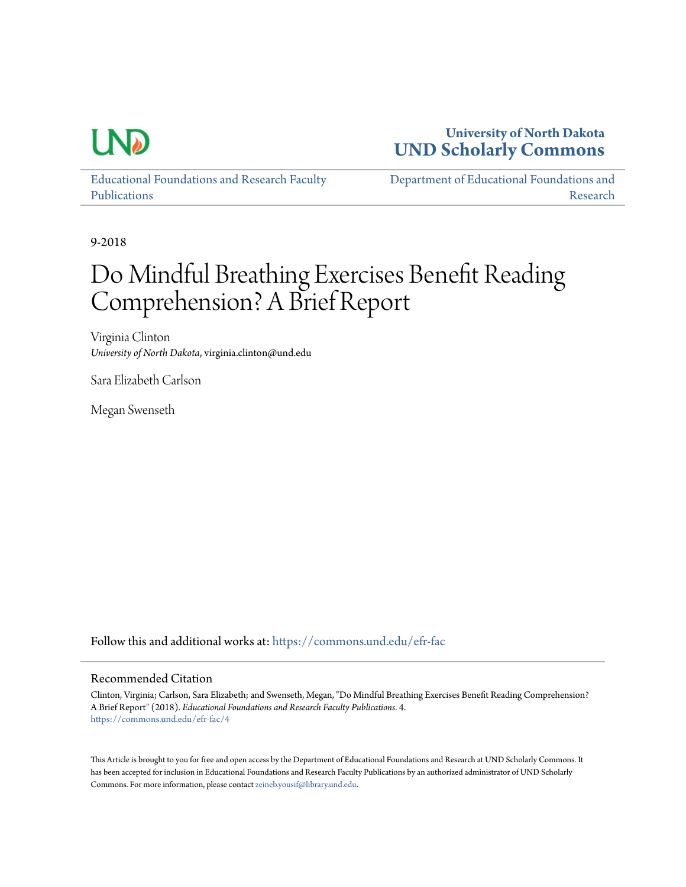

## **University of North Dakota [UND Scholarly Commons](https://commons.und.edu?utm_source=commons.und.edu%2Fefr-fac%2F4&utm_medium=PDF&utm_campaign=PDFCoverPages)**

[Educational Foundations and Research Faculty](https://commons.und.edu/efr-fac?utm_source=commons.und.edu%2Fefr-fac%2F4&utm_medium=PDF&utm_campaign=PDFCoverPages) [Publications](https://commons.und.edu/efr-fac?utm_source=commons.und.edu%2Fefr-fac%2F4&utm_medium=PDF&utm_campaign=PDFCoverPages)

[Department of Educational Foundations and](https://commons.und.edu/efr?utm_source=commons.und.edu%2Fefr-fac%2F4&utm_medium=PDF&utm_campaign=PDFCoverPages) [Research](https://commons.und.edu/efr?utm_source=commons.und.edu%2Fefr-fac%2F4&utm_medium=PDF&utm_campaign=PDFCoverPages)

9-2018

# Do Mindful Breathing Exercises Benefit Reading Comprehension? A Brief Report

Virginia Clinton *University of North Dakota*, virginia.clinton@und.edu

Sara Elizabeth Carlson

Megan Swenseth

Follow this and additional works at: [https://commons.und.edu/efr-fac](https://commons.und.edu/efr-fac?utm_source=commons.und.edu%2Fefr-fac%2F4&utm_medium=PDF&utm_campaign=PDFCoverPages)

#### Recommended Citation

Clinton, Virginia; Carlson, Sara Elizabeth; and Swenseth, Megan, "Do Mindful Breathing Exercises Benefit Reading Comprehension? A Brief Report" (2018). *Educational Foundations and Research Faculty Publications*. 4. [https://commons.und.edu/efr-fac/4](https://commons.und.edu/efr-fac/4?utm_source=commons.und.edu%2Fefr-fac%2F4&utm_medium=PDF&utm_campaign=PDFCoverPages)

This Article is brought to you for free and open access by the Department of Educational Foundations and Research at UND Scholarly Commons. It has been accepted for inclusion in Educational Foundations and Research Faculty Publications by an authorized administrator of UND Scholarly Commons. For more information, please contact [zeineb.yousif@library.und.edu](mailto:zeineb.yousif@library.und.edu).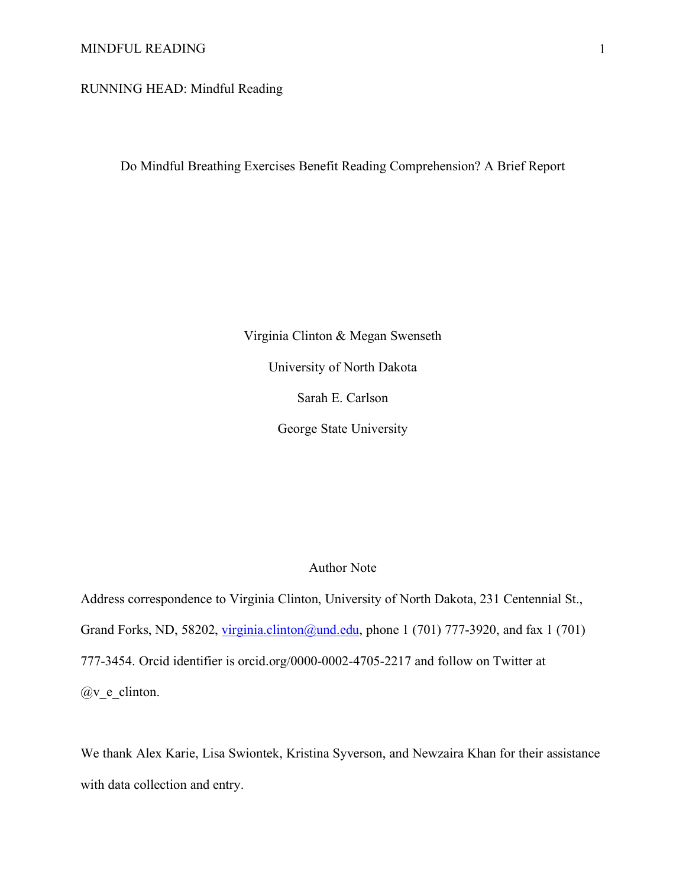#### MINDFUL READING 1

RUNNING HEAD: Mindful Reading

Do Mindful Breathing Exercises Benefit Reading Comprehension? A Brief Report

Virginia Clinton & Megan Swenseth University of North Dakota Sarah E. Carlson George State University

### Author Note

Address correspondence to Virginia Clinton, University of North Dakota, 231 Centennial St., Grand Forks, ND, 58202, *virginia.clinton@und.edu, phone* 1 (701) 777-3920, and fax 1 (701) 777-3454. Orcid identifier is orcid.org/0000-0002-4705-2217 and follow on Twitter at @v\_e\_clinton.

We thank Alex Karie, Lisa Swiontek, Kristina Syverson, and Newzaira Khan for their assistance with data collection and entry.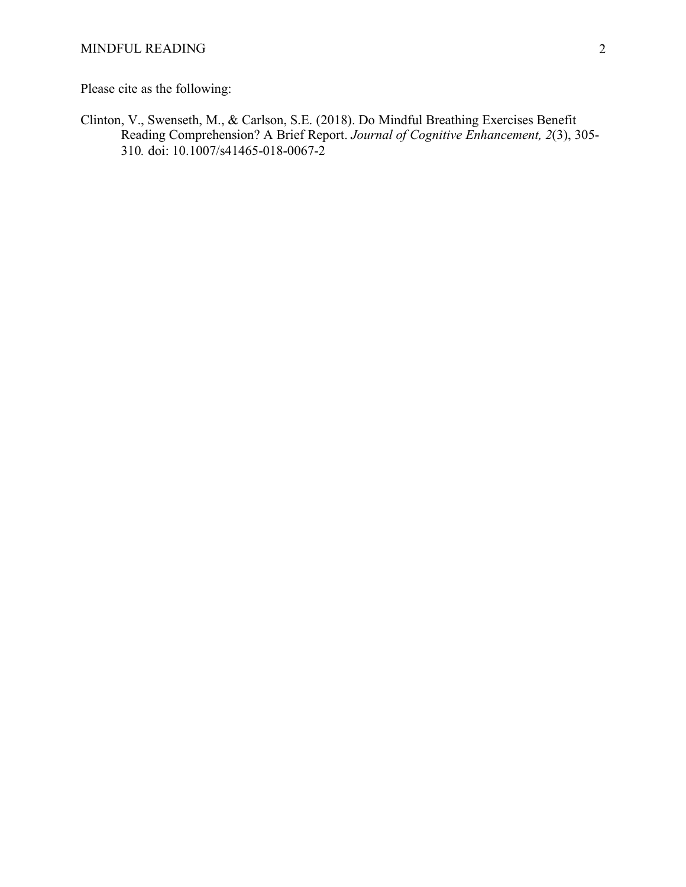Please cite as the following:

Clinton, V., Swenseth, M., & Carlson, S.E. (2018). Do Mindful Breathing Exercises Benefit Reading Comprehension? A Brief Report. *Journal of Cognitive Enhancement, 2*(3), 305- 310*.* doi: 10.1007/s41465-018-0067-2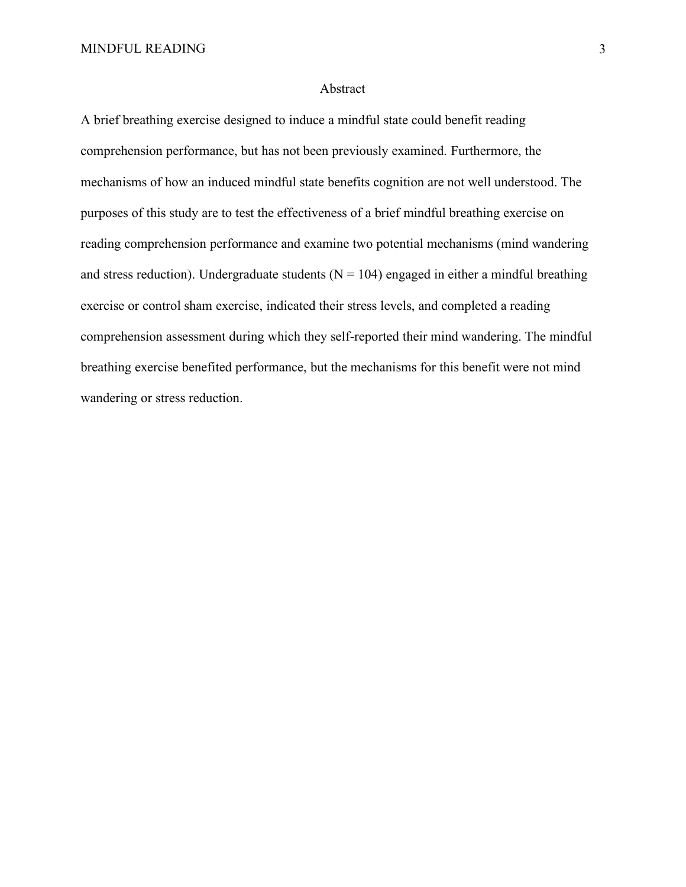#### Abstract

A brief breathing exercise designed to induce a mindful state could benefit reading comprehension performance, but has not been previously examined. Furthermore, the mechanisms of how an induced mindful state benefits cognition are not well understood. The purposes of this study are to test the effectiveness of a brief mindful breathing exercise on reading comprehension performance and examine two potential mechanisms (mind wandering and stress reduction). Undergraduate students ( $N = 104$ ) engaged in either a mindful breathing exercise or control sham exercise, indicated their stress levels, and completed a reading comprehension assessment during which they self-reported their mind wandering. The mindful breathing exercise benefited performance, but the mechanisms for this benefit were not mind wandering or stress reduction.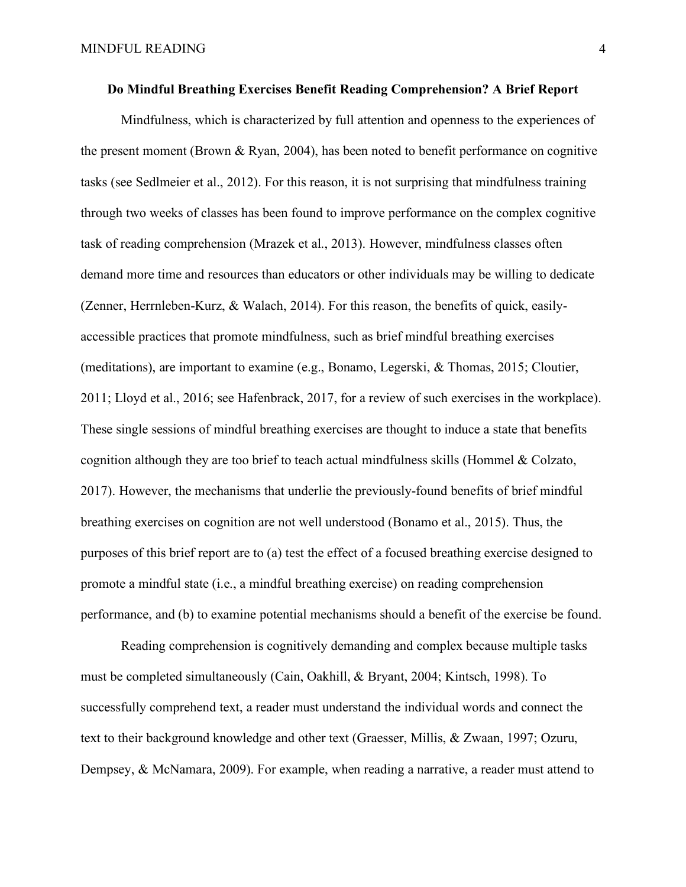#### **Do Mindful Breathing Exercises Benefit Reading Comprehension? A Brief Report**

Mindfulness, which is characterized by full attention and openness to the experiences of the present moment (Brown & Ryan, 2004), has been noted to benefit performance on cognitive tasks (see Sedlmeier et al., 2012). For this reason, it is not surprising that mindfulness training through two weeks of classes has been found to improve performance on the complex cognitive task of reading comprehension (Mrazek et al., 2013). However, mindfulness classes often demand more time and resources than educators or other individuals may be willing to dedicate (Zenner, Herrnleben-Kurz, & Walach, 2014). For this reason, the benefits of quick, easilyaccessible practices that promote mindfulness, such as brief mindful breathing exercises (meditations), are important to examine (e.g., Bonamo, Legerski, & Thomas, 2015; Cloutier, 2011; Lloyd et al., 2016; see Hafenbrack, 2017, for a review of such exercises in the workplace). These single sessions of mindful breathing exercises are thought to induce a state that benefits cognition although they are too brief to teach actual mindfulness skills (Hommel & Colzato, 2017). However, the mechanisms that underlie the previously-found benefits of brief mindful breathing exercises on cognition are not well understood (Bonamo et al., 2015). Thus, the purposes of this brief report are to (a) test the effect of a focused breathing exercise designed to promote a mindful state (i.e., a mindful breathing exercise) on reading comprehension performance, and (b) to examine potential mechanisms should a benefit of the exercise be found.

Reading comprehension is cognitively demanding and complex because multiple tasks must be completed simultaneously (Cain, Oakhill, & Bryant, 2004; Kintsch, 1998). To successfully comprehend text, a reader must understand the individual words and connect the text to their background knowledge and other text (Graesser, Millis, & Zwaan, 1997; Ozuru, Dempsey, & McNamara, 2009). For example, when reading a narrative, a reader must attend to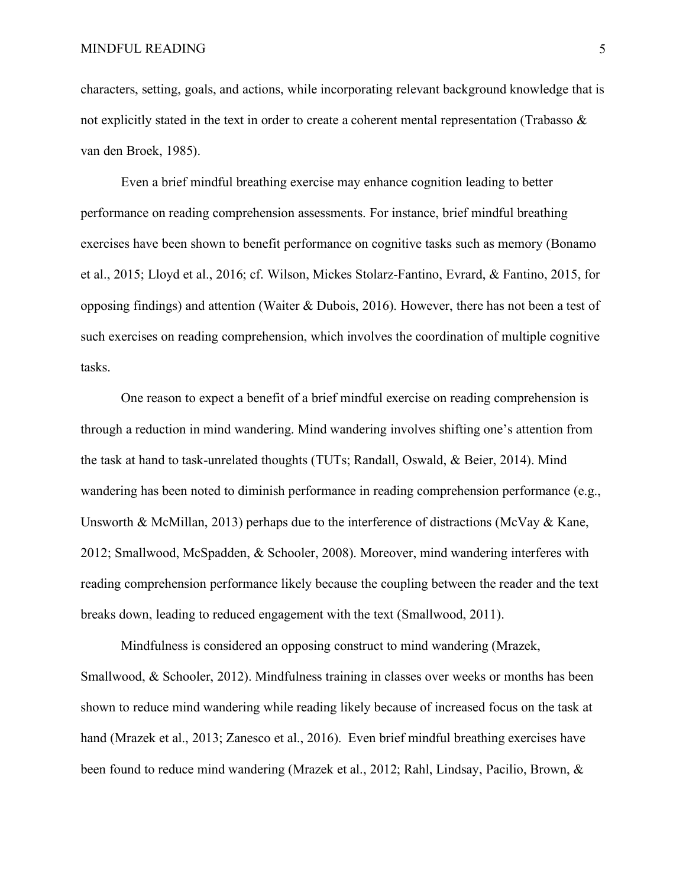characters, setting, goals, and actions, while incorporating relevant background knowledge that is not explicitly stated in the text in order to create a coherent mental representation (Trabasso & van den Broek, 1985).

Even a brief mindful breathing exercise may enhance cognition leading to better performance on reading comprehension assessments. For instance, brief mindful breathing exercises have been shown to benefit performance on cognitive tasks such as memory (Bonamo et al., 2015; Lloyd et al., 2016; cf. Wilson, Mickes Stolarz-Fantino, Evrard, & Fantino, 2015, for opposing findings) and attention (Waiter & Dubois, 2016). However, there has not been a test of such exercises on reading comprehension, which involves the coordination of multiple cognitive tasks.

One reason to expect a benefit of a brief mindful exercise on reading comprehension is through a reduction in mind wandering. Mind wandering involves shifting one's attention from the task at hand to task-unrelated thoughts (TUTs; Randall, Oswald, & Beier, 2014). Mind wandering has been noted to diminish performance in reading comprehension performance (e.g., Unsworth & McMillan, 2013) perhaps due to the interference of distractions (McVay & Kane, 2012; Smallwood, McSpadden, & Schooler, 2008). Moreover, mind wandering interferes with reading comprehension performance likely because the coupling between the reader and the text breaks down, leading to reduced engagement with the text (Smallwood, 2011).

Mindfulness is considered an opposing construct to mind wandering (Mrazek, Smallwood, & Schooler, 2012). Mindfulness training in classes over weeks or months has been shown to reduce mind wandering while reading likely because of increased focus on the task at hand (Mrazek et al., 2013; Zanesco et al., 2016). Even brief mindful breathing exercises have been found to reduce mind wandering (Mrazek et al., 2012; Rahl, Lindsay, Pacilio, Brown, &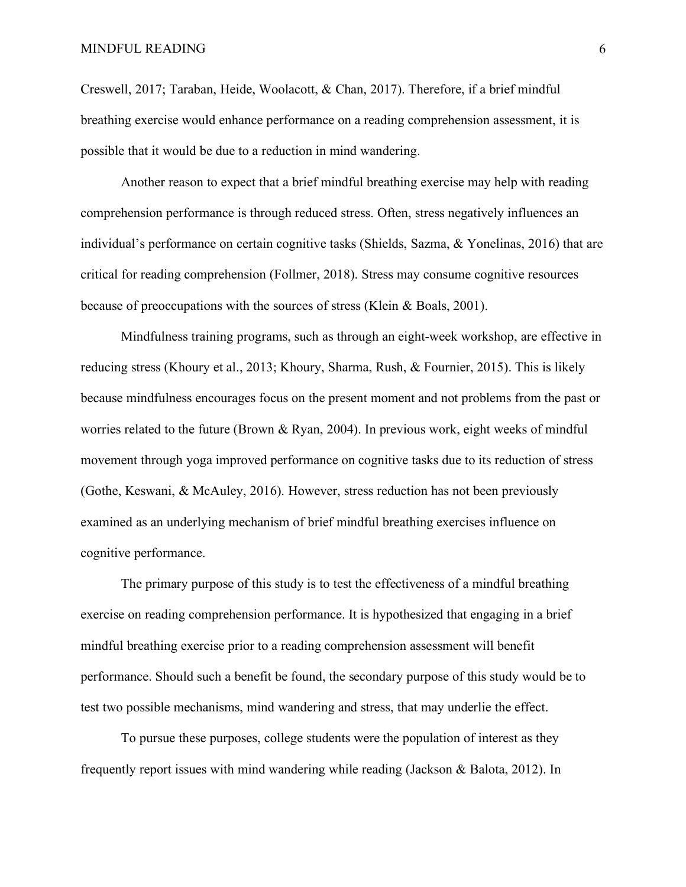Creswell, 2017; Taraban, Heide, Woolacott, & Chan, 2017). Therefore, if a brief mindful breathing exercise would enhance performance on a reading comprehension assessment, it is possible that it would be due to a reduction in mind wandering.

Another reason to expect that a brief mindful breathing exercise may help with reading comprehension performance is through reduced stress. Often, stress negatively influences an individual's performance on certain cognitive tasks (Shields, Sazma, & Yonelinas, 2016) that are critical for reading comprehension (Follmer, 2018). Stress may consume cognitive resources because of preoccupations with the sources of stress (Klein & Boals, 2001).

Mindfulness training programs, such as through an eight-week workshop, are effective in reducing stress (Khoury et al., 2013; Khoury, Sharma, Rush, & Fournier, 2015). This is likely because mindfulness encourages focus on the present moment and not problems from the past or worries related to the future (Brown & Ryan, 2004). In previous work, eight weeks of mindful movement through yoga improved performance on cognitive tasks due to its reduction of stress (Gothe, Keswani, & McAuley, 2016). However, stress reduction has not been previously examined as an underlying mechanism of brief mindful breathing exercises influence on cognitive performance.

The primary purpose of this study is to test the effectiveness of a mindful breathing exercise on reading comprehension performance. It is hypothesized that engaging in a brief mindful breathing exercise prior to a reading comprehension assessment will benefit performance. Should such a benefit be found, the secondary purpose of this study would be to test two possible mechanisms, mind wandering and stress, that may underlie the effect.

To pursue these purposes, college students were the population of interest as they frequently report issues with mind wandering while reading (Jackson & Balota, 2012). In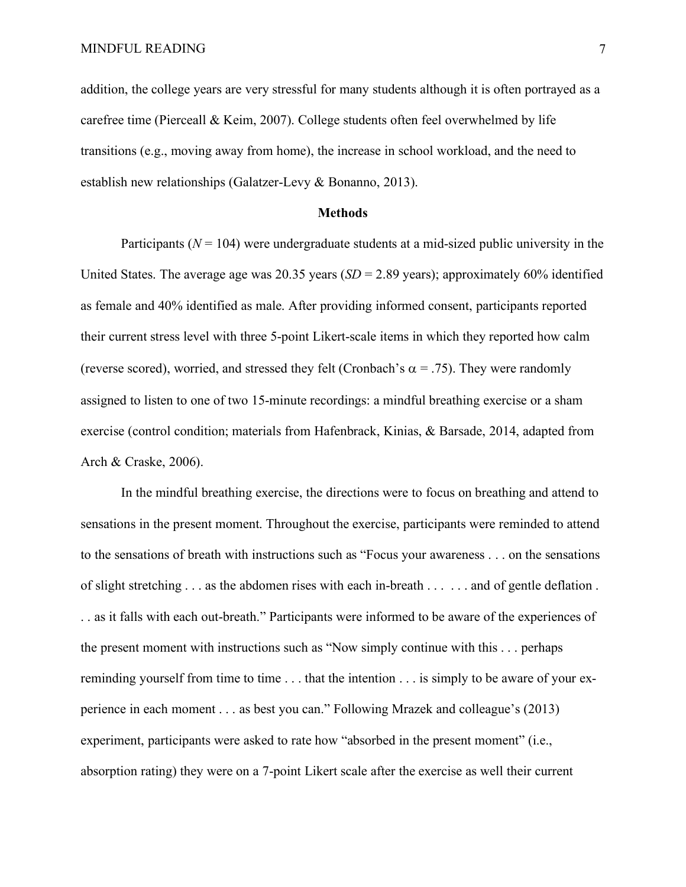addition, the college years are very stressful for many students although it is often portrayed as a carefree time (Pierceall & Keim, 2007). College students often feel overwhelmed by life transitions (e.g., moving away from home), the increase in school workload, and the need to establish new relationships (Galatzer-Levy & Bonanno, 2013).

#### **Methods**

Participants ( $N = 104$ ) were undergraduate students at a mid-sized public university in the United States. The average age was 20.35 years  $(SD = 2.89$  years); approximately 60% identified as female and 40% identified as male. After providing informed consent, participants reported their current stress level with three 5-point Likert-scale items in which they reported how calm (reverse scored), worried, and stressed they felt (Cronbach's  $\alpha$  = .75). They were randomly assigned to listen to one of two 15-minute recordings: a mindful breathing exercise or a sham exercise (control condition; materials from Hafenbrack, Kinias, & Barsade, 2014, adapted from Arch & Craske, 2006).

In the mindful breathing exercise, the directions were to focus on breathing and attend to sensations in the present moment. Throughout the exercise, participants were reminded to attend to the sensations of breath with instructions such as "Focus your awareness . . . on the sensations of slight stretching . . . as the abdomen rises with each in-breath . . . . . . and of gentle deflation . . . as it falls with each out-breath." Participants were informed to be aware of the experiences of the present moment with instructions such as "Now simply continue with this . . . perhaps reminding yourself from time to time . . . that the intention . . . is simply to be aware of your experience in each moment . . . as best you can." Following Mrazek and colleague's (2013) experiment, participants were asked to rate how "absorbed in the present moment" (i.e., absorption rating) they were on a 7-point Likert scale after the exercise as well their current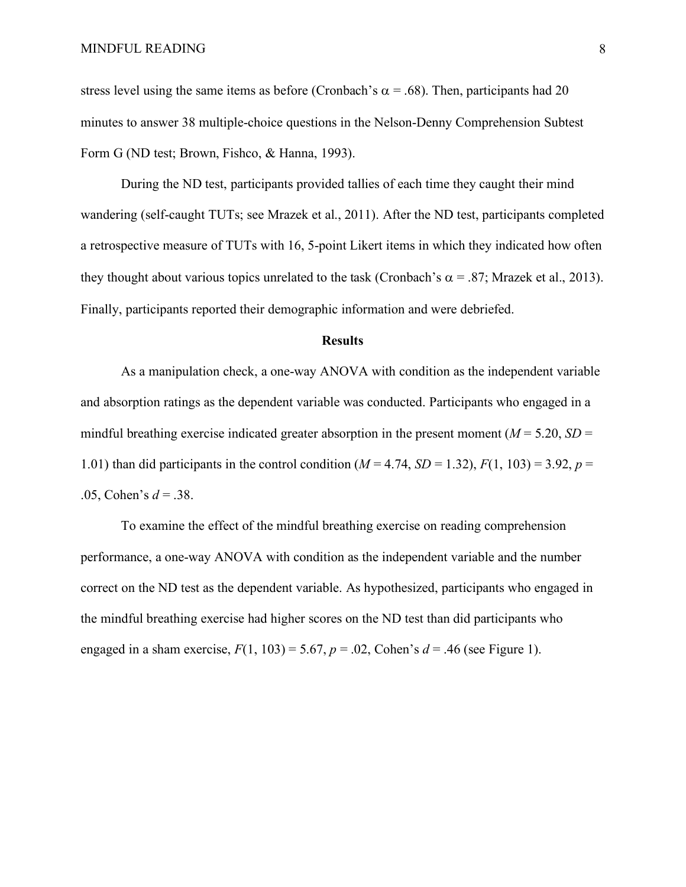stress level using the same items as before (Cronbach's  $\alpha$  = .68). Then, participants had 20 minutes to answer 38 multiple-choice questions in the Nelson-Denny Comprehension Subtest Form G (ND test; Brown, Fishco, & Hanna, 1993).

During the ND test, participants provided tallies of each time they caught their mind wandering (self-caught TUTs; see Mrazek et al., 2011). After the ND test, participants completed a retrospective measure of TUTs with 16, 5-point Likert items in which they indicated how often they thought about various topics unrelated to the task (Cronbach's  $\alpha$  = .87; Mrazek et al., 2013). Finally, participants reported their demographic information and were debriefed.

#### **Results**

As a manipulation check, a one-way ANOVA with condition as the independent variable and absorption ratings as the dependent variable was conducted. Participants who engaged in a mindful breathing exercise indicated greater absorption in the present moment ( $M = 5.20$ ,  $SD =$ 1.01) than did participants in the control condition  $(M = 4.74, SD = 1.32)$ ,  $F(1, 103) = 3.92$ ,  $p =$ .05, Cohen's *d* = .38.

To examine the effect of the mindful breathing exercise on reading comprehension performance, a one-way ANOVA with condition as the independent variable and the number correct on the ND test as the dependent variable. As hypothesized, participants who engaged in the mindful breathing exercise had higher scores on the ND test than did participants who engaged in a sham exercise,  $F(1, 103) = 5.67$ ,  $p = .02$ , Cohen's  $d = .46$  (see Figure 1).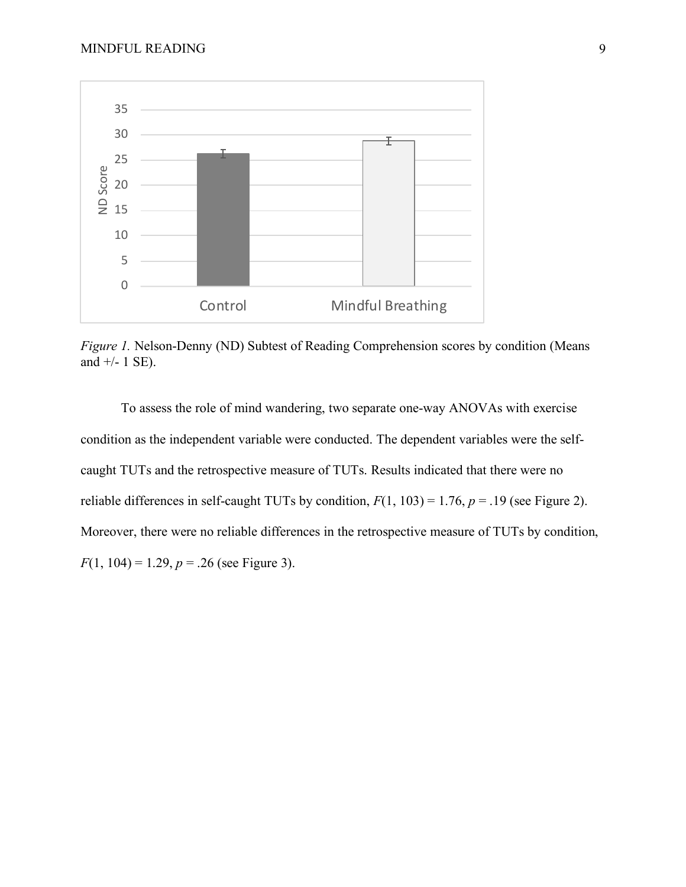

*Figure 1.* Nelson-Denny (ND) Subtest of Reading Comprehension scores by condition (Means and  $+/- 1$  SE).

To assess the role of mind wandering, two separate one-way ANOVAs with exercise condition as the independent variable were conducted. The dependent variables were the selfcaught TUTs and the retrospective measure of TUTs. Results indicated that there were no reliable differences in self-caught TUTs by condition,  $F(1, 103) = 1.76$ ,  $p = .19$  (see Figure 2). Moreover, there were no reliable differences in the retrospective measure of TUTs by condition,  $F(1, 104) = 1.29, p = .26$  (see Figure 3).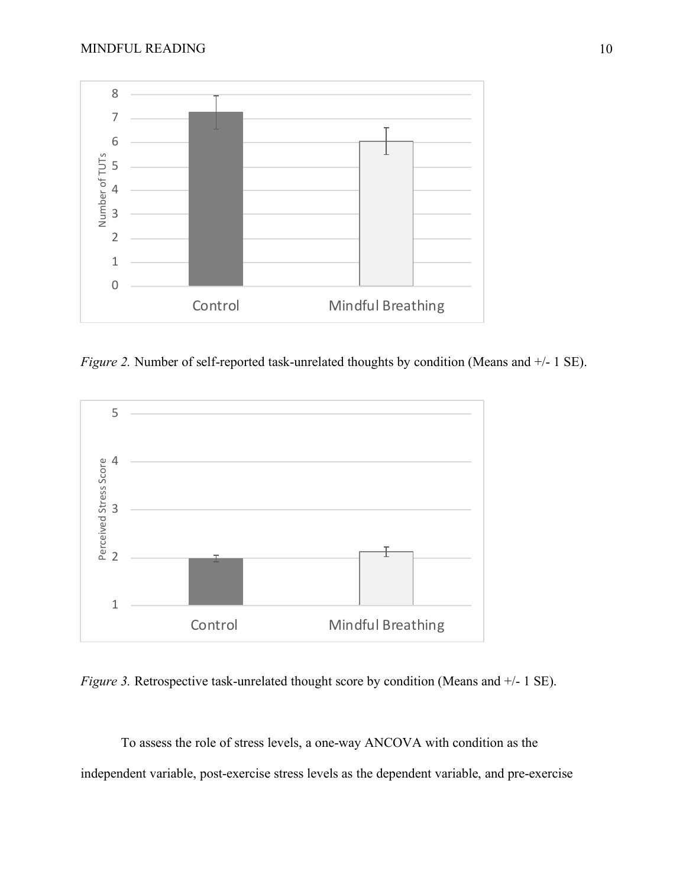

*Figure 2.* Number of self-reported task-unrelated thoughts by condition (Means and  $+/-1$  SE).



*Figure 3.* Retrospective task-unrelated thought score by condition (Means and  $+/-1$  SE).

To assess the role of stress levels, a one-way ANCOVA with condition as the independent variable, post-exercise stress levels as the dependent variable, and pre-exercise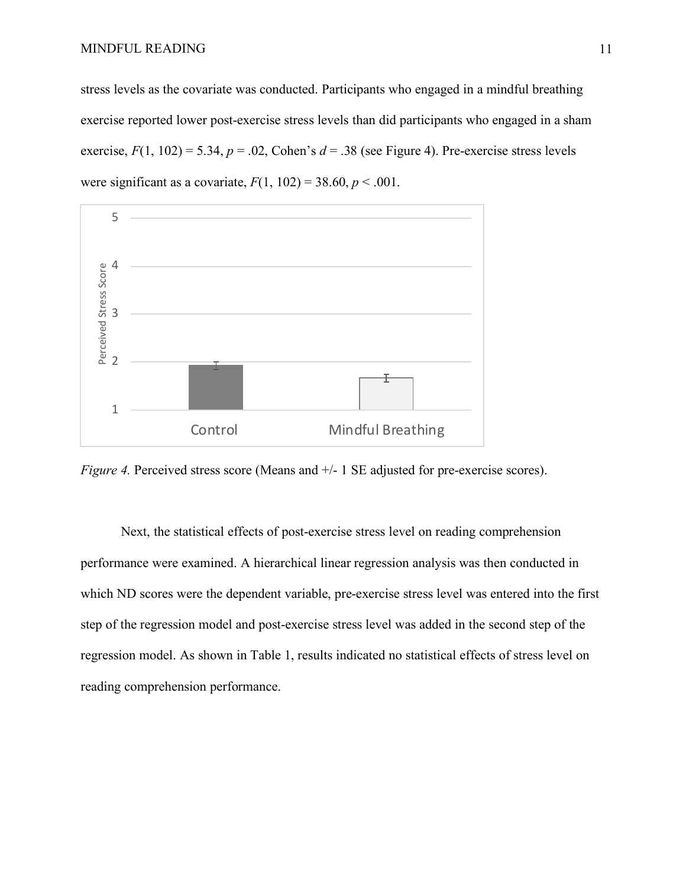stress levels as the covariate was conducted. Participants who engaged in a mindful breathing exercise reported lower post-exercise stress levels than did participants who engaged in a sham exercise,  $F(1, 102) = 5.34$ ,  $p = .02$ , Cohen's  $d = .38$  (see Figure 4). Pre-exercise stress levels were significant as a covariate,  $F(1, 102) = 38.60, p < .001$ .



*Figure 4.* Perceived stress score (Means and  $+/- 1$  SE adjusted for pre-exercise scores).

Next, the statistical effects of post-exercise stress level on reading comprehension performance were examined. A hierarchical linear regression analysis was then conducted in which ND scores were the dependent variable, pre-exercise stress level was entered into the first step of the regression model and post-exercise stress level was added in the second step of the regression model. As shown in Table 1, results indicated no statistical effects of stress level on reading comprehension performance.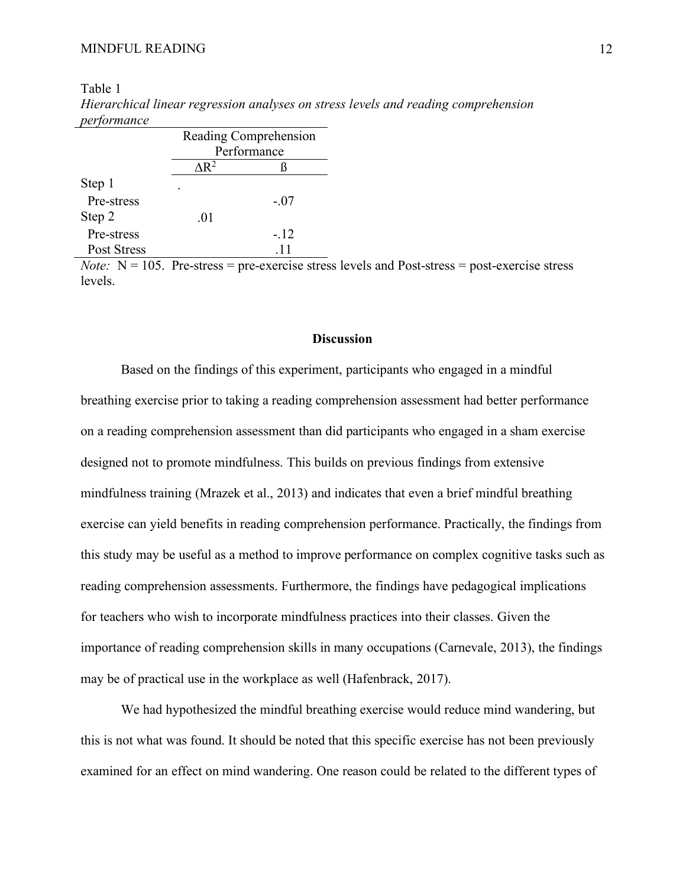Step 2 .01

Pre-stress -.12 Post Stress .11

|             | $\cdot$          |                       |
|-------------|------------------|-----------------------|
| performance |                  |                       |
|             |                  | Reading Comprehension |
|             |                  | Performance           |
|             | ላ $\mathbf{R}^2$ |                       |
| Step 1      |                  |                       |
| Pre-stress  |                  | - 07                  |

Table 1 *Hierarchical linear regression analyses on stress levels and reading comprehension* 

*Note:*  $N = 105$ . Pre-stress = pre-exercise stress levels and Post-stress = post-exercise stress levels.

#### **Discussion**

Based on the findings of this experiment, participants who engaged in a mindful breathing exercise prior to taking a reading comprehension assessment had better performance on a reading comprehension assessment than did participants who engaged in a sham exercise designed not to promote mindfulness. This builds on previous findings from extensive mindfulness training (Mrazek et al., 2013) and indicates that even a brief mindful breathing exercise can yield benefits in reading comprehension performance. Practically, the findings from this study may be useful as a method to improve performance on complex cognitive tasks such as reading comprehension assessments. Furthermore, the findings have pedagogical implications for teachers who wish to incorporate mindfulness practices into their classes. Given the importance of reading comprehension skills in many occupations (Carnevale, 2013), the findings may be of practical use in the workplace as well (Hafenbrack, 2017).

We had hypothesized the mindful breathing exercise would reduce mind wandering, but this is not what was found. It should be noted that this specific exercise has not been previously examined for an effect on mind wandering. One reason could be related to the different types of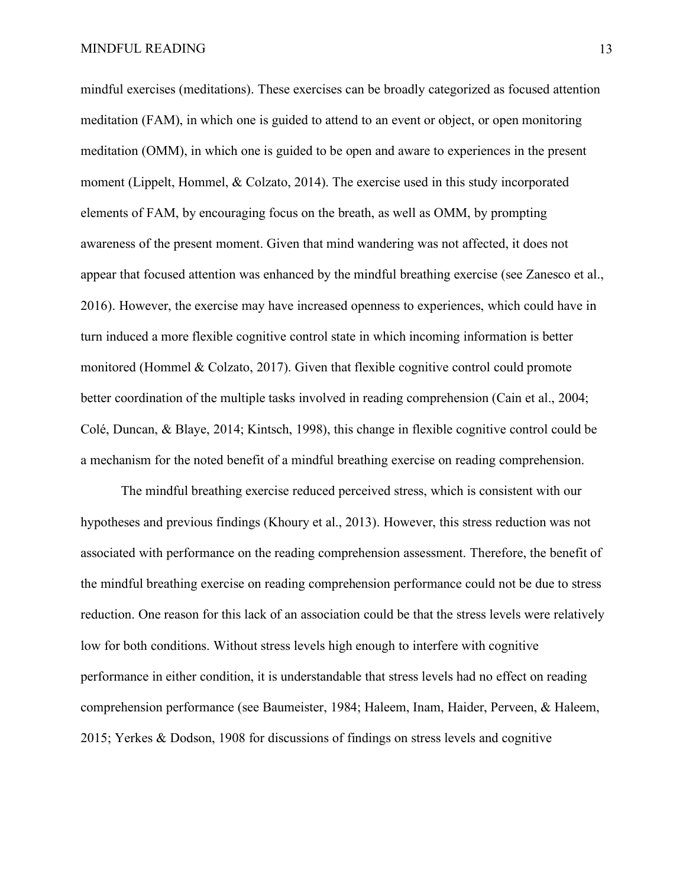mindful exercises (meditations). These exercises can be broadly categorized as focused attention meditation (FAM), in which one is guided to attend to an event or object, or open monitoring meditation (OMM), in which one is guided to be open and aware to experiences in the present moment (Lippelt, Hommel, & Colzato, 2014). The exercise used in this study incorporated elements of FAM, by encouraging focus on the breath, as well as OMM, by prompting awareness of the present moment. Given that mind wandering was not affected, it does not appear that focused attention was enhanced by the mindful breathing exercise (see Zanesco et al., 2016). However, the exercise may have increased openness to experiences, which could have in turn induced a more flexible cognitive control state in which incoming information is better monitored (Hommel & Colzato, 2017). Given that flexible cognitive control could promote better coordination of the multiple tasks involved in reading comprehension (Cain et al., 2004; Colé, Duncan, & Blaye, 2014; Kintsch, 1998), this change in flexible cognitive control could be a mechanism for the noted benefit of a mindful breathing exercise on reading comprehension.

The mindful breathing exercise reduced perceived stress, which is consistent with our hypotheses and previous findings (Khoury et al., 2013). However, this stress reduction was not associated with performance on the reading comprehension assessment. Therefore, the benefit of the mindful breathing exercise on reading comprehension performance could not be due to stress reduction. One reason for this lack of an association could be that the stress levels were relatively low for both conditions. Without stress levels high enough to interfere with cognitive performance in either condition, it is understandable that stress levels had no effect on reading comprehension performance (see Baumeister, 1984; Haleem, Inam, Haider, Perveen, & Haleem, 2015; Yerkes & Dodson, 1908 for discussions of findings on stress levels and cognitive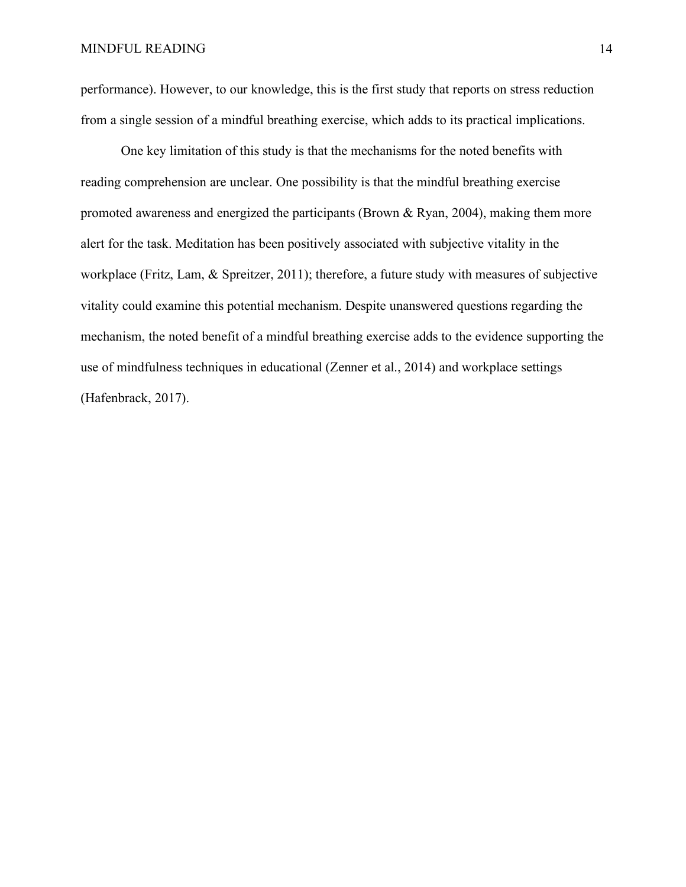performance). However, to our knowledge, this is the first study that reports on stress reduction from a single session of a mindful breathing exercise, which adds to its practical implications.

One key limitation of this study is that the mechanisms for the noted benefits with reading comprehension are unclear. One possibility is that the mindful breathing exercise promoted awareness and energized the participants (Brown & Ryan, 2004), making them more alert for the task. Meditation has been positively associated with subjective vitality in the workplace (Fritz, Lam, & Spreitzer, 2011); therefore, a future study with measures of subjective vitality could examine this potential mechanism. Despite unanswered questions regarding the mechanism, the noted benefit of a mindful breathing exercise adds to the evidence supporting the use of mindfulness techniques in educational (Zenner et al., 2014) and workplace settings (Hafenbrack, 2017).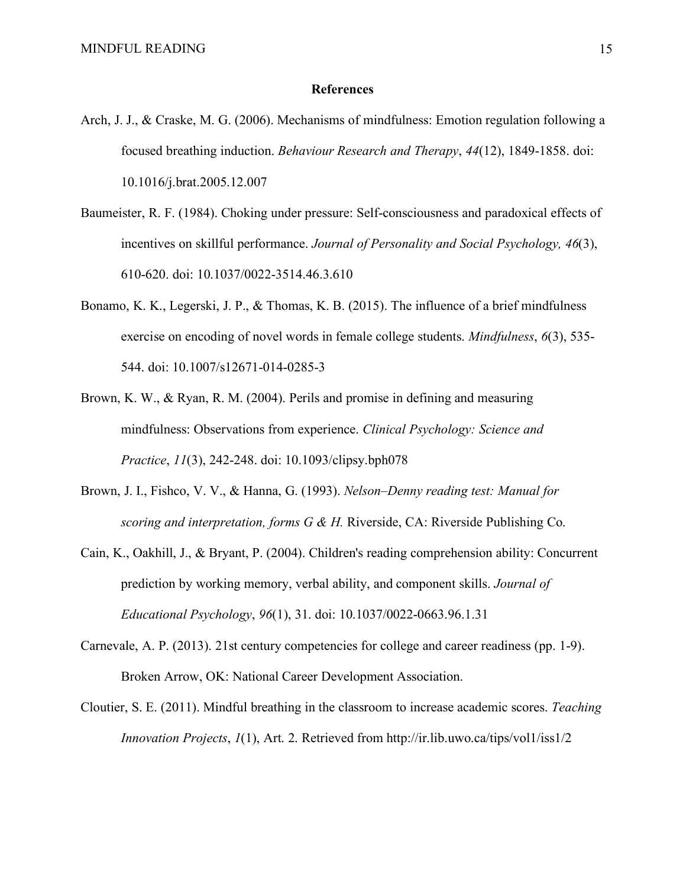#### **References**

- Arch, J. J., & Craske, M. G. (2006). Mechanisms of mindfulness: Emotion regulation following a focused breathing induction. *Behaviour Research and Therapy*, *44*(12), 1849-1858. doi: 10.1016/j.brat.2005.12.007
- Baumeister, R. F. (1984). Choking under pressure: Self-consciousness and paradoxical effects of incentives on skillful performance. *Journal of Personality and Social Psychology, 46*(3), 610-620. doi: 10.1037/0022-3514.46.3.610
- Bonamo, K. K., Legerski, J. P., & Thomas, K. B. (2015). The influence of a brief mindfulness exercise on encoding of novel words in female college students. *Mindfulness*, *6*(3), 535- 544. doi: 10.1007/s12671-014-0285-3
- Brown, K. W., & Ryan, R. M. (2004). Perils and promise in defining and measuring mindfulness: Observations from experience. *Clinical Psychology: Science and Practice*, *11*(3), 242-248. doi: 10.1093/clipsy.bph078
- Brown, J. I., Fishco, V. V., & Hanna, G. (1993). *Nelson–Denny reading test: Manual for scoring and interpretation, forms G & H.* Riverside, CA: Riverside Publishing Co.
- Cain, K., Oakhill, J., & Bryant, P. (2004). Children's reading comprehension ability: Concurrent prediction by working memory, verbal ability, and component skills. *Journal of Educational Psychology*, *96*(1), 31. doi: 10.1037/0022-0663.96.1.31
- Carnevale, A. P. (2013). 21st century competencies for college and career readiness (pp. 1-9). Broken Arrow, OK: National Career Development Association.
- Cloutier, S. E. (2011). Mindful breathing in the classroom to increase academic scores. *Teaching Innovation Projects*, *1*(1), Art. 2. Retrieved from http://ir.lib.uwo.ca/tips/vol1/iss1/2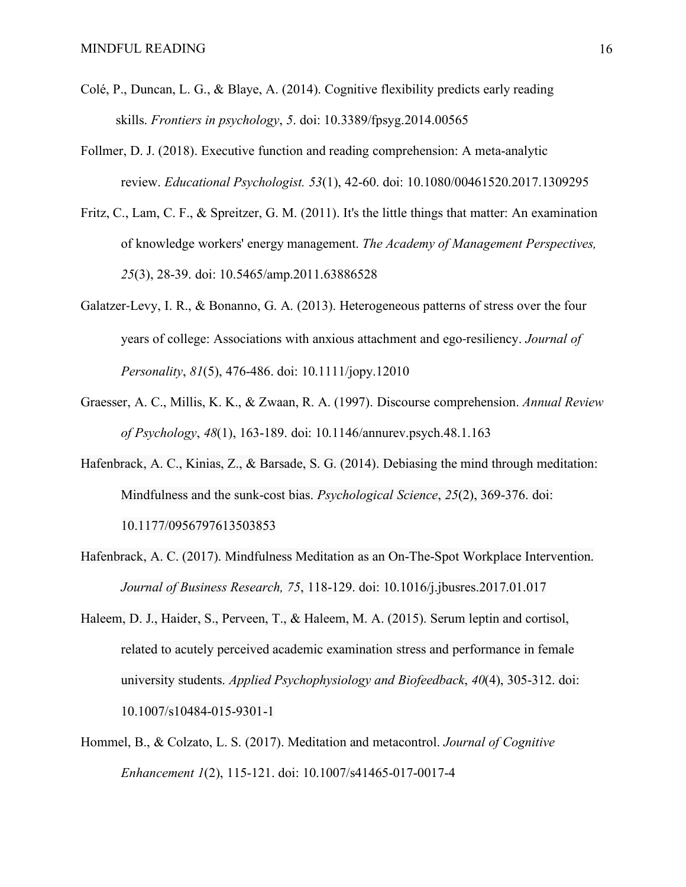- Colé, P., Duncan, L. G., & Blaye, A. (2014). Cognitive flexibility predicts early reading skills. *Frontiers in psychology*, *5*. doi: 10.3389/fpsyg.2014.00565
- Follmer, D. J. (2018). Executive function and reading comprehension: A meta-analytic review. *Educational Psychologist. 53*(1), 42-60. doi: 10.1080/00461520.2017.1309295
- Fritz, C., Lam, C. F., & Spreitzer, G. M. (2011). It's the little things that matter: An examination of knowledge workers' energy management. *The Academy of Management Perspectives, 25*(3), 28-39. doi: 10.5465/amp.2011.63886528
- Galatzer-Levy, I. R., & Bonanno, G. A. (2013). Heterogeneous patterns of stress over the four years of college: Associations with anxious attachment and ego-resiliency. *Journal of Personality*, *81*(5), 476-486. doi: 10.1111/jopy.12010
- Graesser, A. C., Millis, K. K., & Zwaan, R. A. (1997). Discourse comprehension. *Annual Review of Psychology*, *48*(1), 163-189. doi: 10.1146/annurev.psych.48.1.163
- Hafenbrack, A. C., Kinias, Z., & Barsade, S. G. (2014). Debiasing the mind through meditation: Mindfulness and the sunk-cost bias. *Psychological Science*, *25*(2), 369-376. doi: 10.1177/0956797613503853
- Hafenbrack, A. C. (2017). Mindfulness Meditation as an On-The-Spot Workplace Intervention. *Journal of Business Research, 75*, 118-129. doi: 10.1016/j.jbusres.2017.01.017
- Haleem, D. J., Haider, S., Perveen, T., & Haleem, M. A. (2015). Serum leptin and cortisol, related to acutely perceived academic examination stress and performance in female university students. *Applied Psychophysiology and Biofeedback*, *40*(4), 305-312. doi: 10.1007/s10484-015-9301-1
- Hommel, B., & Colzato, L. S. (2017). Meditation and metacontrol. *Journal of Cognitive Enhancement 1*(2), 115-121. doi: 10.1007/s41465-017-0017-4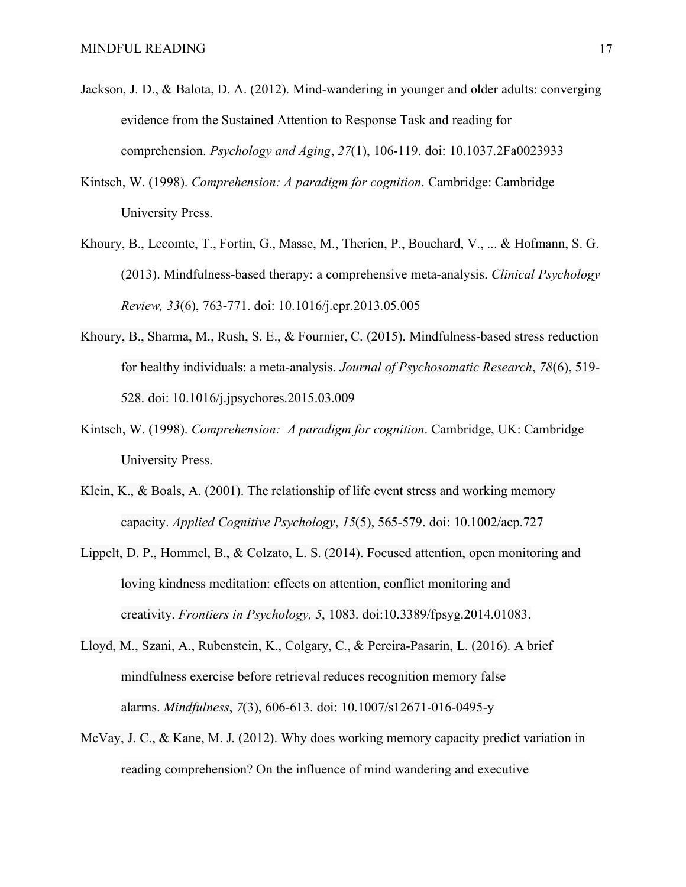- Jackson, J. D., & Balota, D. A. (2012). Mind-wandering in younger and older adults: converging evidence from the Sustained Attention to Response Task and reading for comprehension. *Psychology and Aging*, *27*(1), 106-119. doi: 10.1037.2Fa0023933
- Kintsch, W. (1998). *Comprehension: A paradigm for cognition*. Cambridge: Cambridge University Press.
- Khoury, B., Lecomte, T., Fortin, G., Masse, M., Therien, P., Bouchard, V., ... & Hofmann, S. G. (2013). Mindfulness-based therapy: a comprehensive meta-analysis. *Clinical Psychology Review, 33*(6), 763-771. doi: 10.1016/j.cpr.2013.05.005
- Khoury, B., Sharma, M., Rush, S. E., & Fournier, C. (2015). Mindfulness-based stress reduction for healthy individuals: a meta-analysis. *Journal of Psychosomatic Research*, *78*(6), 519- 528. doi: 10.1016/j.jpsychores.2015.03.009
- Kintsch, W. (1998). *Comprehension: A paradigm for cognition*. Cambridge, UK: Cambridge University Press.
- Klein, K., & Boals, A. (2001). The relationship of life event stress and working memory capacity. *Applied Cognitive Psychology*, *15*(5), 565-579. doi: 10.1002/acp.727
- Lippelt, D. P., Hommel, B., & Colzato, L. S. (2014). Focused attention, open monitoring and loving kindness meditation: effects on attention, conflict monitoring and creativity. *Frontiers in Psychology, 5*, 1083. doi:10.3389/fpsyg.2014.01083.
- Lloyd, M., Szani, A., Rubenstein, K., Colgary, C., & Pereira-Pasarin, L. (2016). A brief mindfulness exercise before retrieval reduces recognition memory false alarms. *Mindfulness*, *7*(3), 606-613. doi: 10.1007/s12671-016-0495-y
- McVay, J. C., & Kane, M. J. (2012). Why does working memory capacity predict variation in reading comprehension? On the influence of mind wandering and executive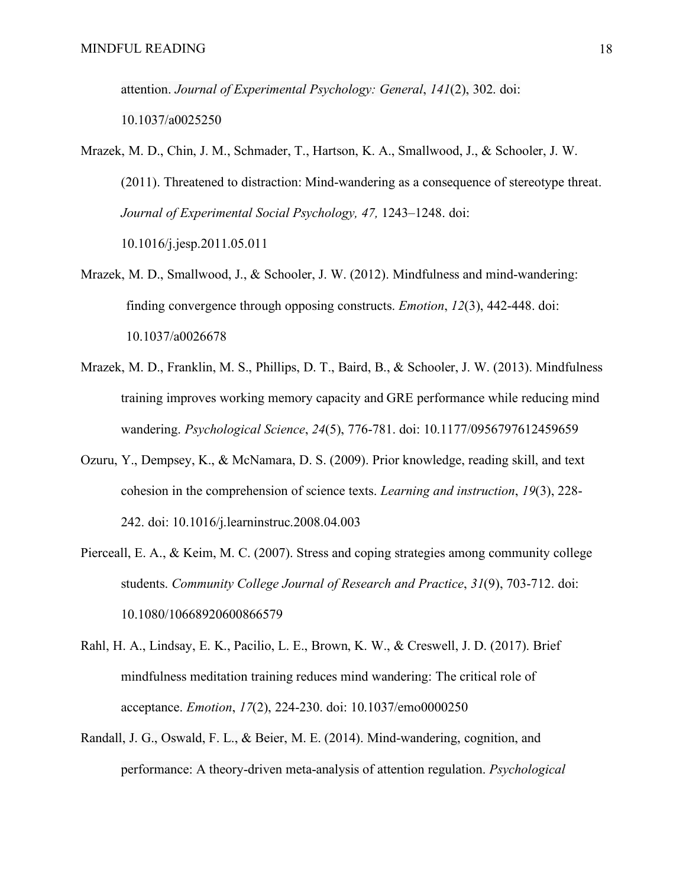attention. *Journal of Experimental Psychology: General*, *141*(2), 302. doi:

10.1037/a0025250

- Mrazek, M. D., Chin, J. M., Schmader, T., Hartson, K. A., Smallwood, J., & Schooler, J. W. (2011). Threatened to distraction: Mind-wandering as a consequence of stereotype threat. *Journal of Experimental Social Psychology, 47,* 1243–1248. doi: 10.1016/j.jesp.2011.05.011
- Mrazek, M. D., Smallwood, J., & Schooler, J. W. (2012). Mindfulness and mind-wandering: finding convergence through opposing constructs. *Emotion*, *12*(3), 442-448. doi: 10.1037/a0026678
- Mrazek, M. D., Franklin, M. S., Phillips, D. T., Baird, B., & Schooler, J. W. (2013). Mindfulness training improves working memory capacity and GRE performance while reducing mind wandering. *Psychological Science*, *24*(5), 776-781. doi: 10.1177/0956797612459659
- Ozuru, Y., Dempsey, K., & McNamara, D. S. (2009). Prior knowledge, reading skill, and text cohesion in the comprehension of science texts. *Learning and instruction*, *19*(3), 228- 242. doi: 10.1016/j.learninstruc.2008.04.003
- Pierceall, E. A., & Keim, M. C. (2007). Stress and coping strategies among community college students. *Community College Journal of Research and Practice*, *31*(9), 703-712. doi: 10.1080/10668920600866579
- Rahl, H. A., Lindsay, E. K., Pacilio, L. E., Brown, K. W., & Creswell, J. D. (2017). Brief mindfulness meditation training reduces mind wandering: The critical role of acceptance. *Emotion*, *17*(2), 224-230. doi: 10.1037/emo0000250
- Randall, J. G., Oswald, F. L., & Beier, M. E. (2014). Mind-wandering, cognition, and performance: A theory-driven meta-analysis of attention regulation. *Psychological*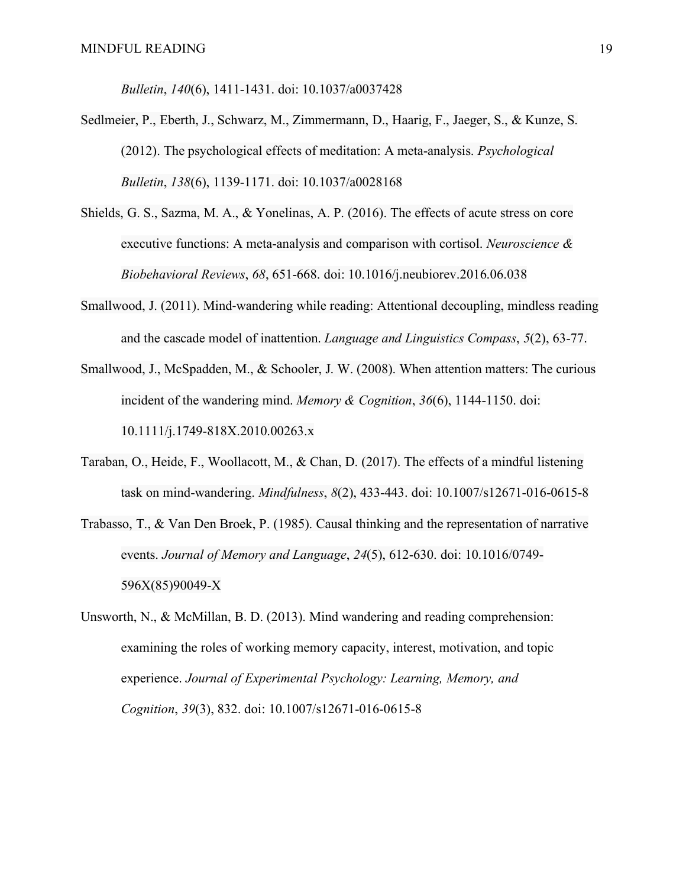*Bulletin*, *140*(6), 1411-1431. doi: 10.1037/a0037428

- Sedlmeier, P., Eberth, J., Schwarz, M., Zimmermann, D., Haarig, F., Jaeger, S., & Kunze, S. (2012). The psychological effects of meditation: A meta-analysis. *Psychological Bulletin*, *138*(6), 1139-1171. doi: 10.1037/a0028168
- Shields, G. S., Sazma, M. A., & Yonelinas, A. P. (2016). The effects of acute stress on core executive functions: A meta-analysis and comparison with cortisol. *Neuroscience & Biobehavioral Reviews*, *68*, 651-668. doi: 10.1016/j.neubiorev.2016.06.038
- Smallwood, J. (2011). Mind-wandering while reading: Attentional decoupling, mindless reading and the cascade model of inattention. *Language and Linguistics Compass*, *5*(2), 63-77.
- Smallwood, J., McSpadden, M., & Schooler, J. W. (2008). When attention matters: The curious incident of the wandering mind. *Memory & Cognition*, *36*(6), 1144-1150. doi: 10.1111/j.1749-818X.2010.00263.x
- Taraban, O., Heide, F., Woollacott, M., & Chan, D. (2017). The effects of a mindful listening task on mind-wandering. *Mindfulness*, *8*(2), 433-443. doi: 10.1007/s12671-016-0615-8
- Trabasso, T., & Van Den Broek, P. (1985). Causal thinking and the representation of narrative events. *Journal of Memory and Language*, *24*(5), 612-630. doi: 10.1016/0749- 596X(85)90049-X
- Unsworth, N., & McMillan, B. D. (2013). Mind wandering and reading comprehension: examining the roles of working memory capacity, interest, motivation, and topic experience. *Journal of Experimental Psychology: Learning, Memory, and Cognition*, *39*(3), 832. doi: 10.1007/s12671-016-0615-8